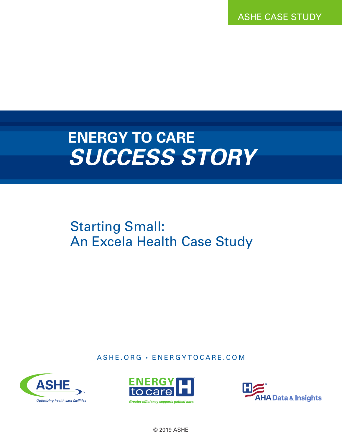ASHE CASE STUDY

# **ENERGY TO CARE** *SUCCESS STORY*

## Starting Small: An Excela Health Case Study

ASHE.ORG · ENERGYTOCARE.COM







© 2019 ASHE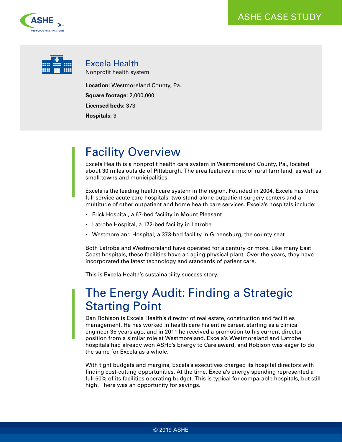



Excela Health Nonprofit health system

**Location:** Westmoreland County, Pa.

**Square footage:** 2,000,000

**Licensed beds:** 373

**Hospitals:** 3

### Facility Overview

Excela Health is a nonprofit health care system in Westmoreland County, Pa., located about 30 miles outside of Pittsburgh. The area features a mix of rural farmland, as well as small towns and municipalities.

Excela is the leading health care system in the region. Founded in 2004, Excela has three full-service acute care hospitals, two stand-alone outpatient surgery centers and a multitude of other outpatient and home health care services. Excela's hospitals include:

- Frick Hospital, a 67-bed facility in Mount Pleasant
- Latrobe Hospital, a 172-bed facility in Latrobe
- Westmoreland Hospital, a 373-bed facility in Greensburg, the county seat

Both Latrobe and Westmoreland have operated for a century or more. Like many East Coast hospitals, these facilities have an aging physical plant. Over the years, they have incorporated the latest technology and standards of patient care.

This is Excela Health's sustainability success story.

### The Energy Audit: Finding a Strategic Starting Point

Dan Robison is Excela Health's director of real estate, construction and facilities management. He has worked in health care his entire career, starting as a clinical engineer 35 years ago, and in 2011 he received a promotion to his current director position from a similar role at Westmoreland. Excela's Westmoreland and Latrobe hospitals had already won ASHE's Energy to Care award, and Robison was eager to do the same for Excela as a whole.

With tight budgets and margins, Excela's executives charged its hospital directors with finding cost-cutting opportunities. At the time, Excela's energy spending represented a full 50% of its facilities operating budget. This is typical for comparable hospitals, but still high. There was an opportunity for savings.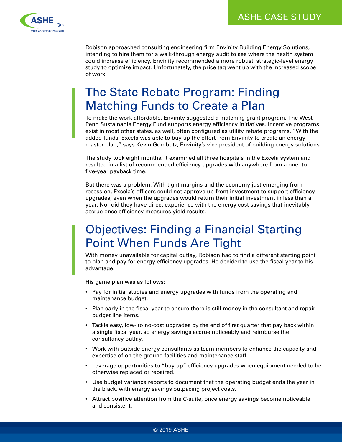

Robison approached consulting engineering firm Envinity Building Energy Solutions, intending to hire them for a walk-through energy audit to see where the health system could increase efficiency. Envinity recommended a more robust, strategic-level energy study to optimize impact. Unfortunately, the price tag went up with the increased scope of work.

### The State Rebate Program: Finding Matching Funds to Create a Plan

To make the work affordable, Envinity suggested a matching grant program. The West Penn Sustainable Energy Fund supports energy efficiency initiatives. Incentive programs exist in most other states, as well, often configured as utility rebate programs. "With the added funds, Excela was able to buy up the effort from Envinity to create an energy master plan," says Kevin Gombotz, Envinity's vice president of building energy solutions.

The study took eight months. It examined all three hospitals in the Excela system and resulted in a list of recommended efficiency upgrades with anywhere from a one- to five-year payback time.

But there was a problem. With tight margins and the economy just emerging from recession, Excela's officers could not approve up-front investment to support efficiency upgrades, even when the upgrades would return their initial investment in less than a year. Nor did they have direct experience with the energy cost savings that inevitably accrue once efficiency measures yield results.

### Objectives: Finding a Financial Starting Point When Funds Are Tight

With money unavailable for capital outlay, Robison had to find a different starting point to plan and pay for energy efficiency upgrades. He decided to use the fiscal year to his advantage.

His game plan was as follows:

- Pay for initial studies and energy upgrades with funds from the operating and maintenance budget.
- Plan early in the fiscal year to ensure there is still money in the consultant and repair budget line items.
- Tackle easy, low- to no-cost upgrades by the end of first quarter that pay back within a single fiscal year, so energy savings accrue noticeably and reimburse the consultancy outlay.
- Work with outside energy consultants as team members to enhance the capacity and expertise of on-the-ground facilities and maintenance staff.
- Leverage opportunities to "buy up" efficiency upgrades when equipment needed to be otherwise replaced or repaired.
- Use budget variance reports to document that the operating budget ends the year in the black, with energy savings outpacing project costs.
- Attract positive attention from the C-suite, once energy savings become noticeable and consistent.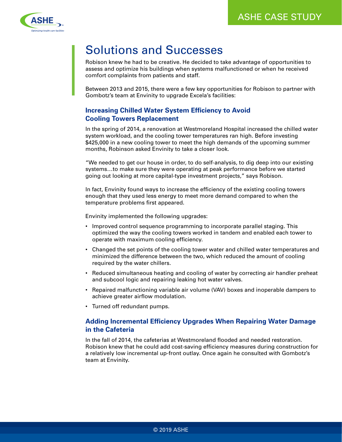

### Solutions and Successes

Robison knew he had to be creative. He decided to take advantage of opportunities to assess and optimize his buildings when systems malfunctioned or when he received comfort complaints from patients and staff.

Between 2013 and 2015, there were a few key opportunities for Robison to partner with Gombotz's team at Envinity to upgrade Excela's facilities:

#### **Increasing Chilled Water System Efficiency to Avoid Cooling Towers Replacement**

In the spring of 2014, a renovation at Westmoreland Hospital increased the chilled water system workload, and the cooling tower temperatures ran high. Before investing \$425,000 in a new cooling tower to meet the high demands of the upcoming summer months, Robinson asked Envinity to take a closer look.

"We needed to get our house in order, to do self-analysis, to dig deep into our existing systems…to make sure they were operating at peak performance before we started going out looking at more capital-type investment projects," says Robison.

In fact, Envinity found ways to increase the efficiency of the existing cooling towers enough that they used less energy to meet more demand compared to when the temperature problems first appeared.

Envinity implemented the following upgrades:

- Improved control sequence programming to incorporate parallel staging. This optimized the way the cooling towers worked in tandem and enabled each tower to operate with maximum cooling efficiency.
- Changed the set points of the cooling tower water and chilled water temperatures and minimized the difference between the two, which reduced the amount of cooling required by the water chillers.
- Reduced simultaneous heating and cooling of water by correcting air handler preheat and subcool logic and repairing leaking hot water valves.
- Repaired malfunctioning variable air volume (VAV) boxes and inoperable dampers to achieve greater airflow modulation.
- Turned off redundant pumps.

#### **Adding Incremental Efficiency Upgrades When Repairing Water Damage in the Cafeteria**

In the fall of 2014, the cafeterias at Westmoreland flooded and needed restoration. Robison knew that he could add cost-saving efficiency measures during construction for a relatively low incremental up-front outlay. Once again he consulted with Gombotz's team at Envinity.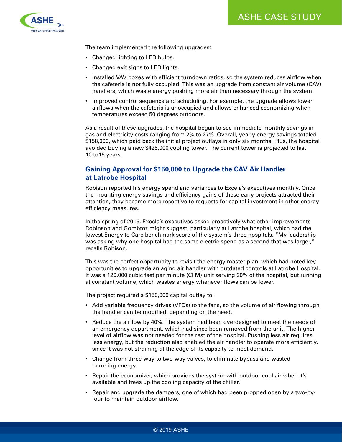

The team implemented the following upgrades:

- Changed lighting to LED bulbs.
- Changed exit signs to LED lights.
- Installed VAV boxes with efficient turndown ratios, so the system reduces airflow when the cafeteria is not fully occupied. This was an upgrade from constant air volume (CAV) handlers, which waste energy pushing more air than necessary through the system.
- Improved control sequence and scheduling. For example, the upgrade allows lower airflows when the cafeteria is unoccupied and allows enhanced economizing when temperatures exceed 50 degrees outdoors.

As a result of these upgrades, the hospital began to see immediate monthly savings in gas and electricity costs ranging from 2% to 27%. Overall, yearly energy savings totaled \$158,000, which paid back the initial project outlays in only six months. Plus, the hospital avoided buying a new \$425,000 cooling tower. The current tower is projected to last 10 to15 years.

#### **Gaining Approval for \$150,000 to Upgrade the CAV Air Handler at Latrobe Hospital**

Robison reported his energy spend and variances to Excela's executives monthly. Once the mounting energy savings and efficiency gains of these early projects attracted their attention, they became more receptive to requests for capital investment in other energy efficiency measures.

In the spring of 2016, Execla's executives asked proactively what other improvements Robinson and Gombtoz might suggest, particularly at Latrobe hospital, which had the lowest Energy to Care benchmark score of the system's three hospitals. "My leadership was asking why one hospital had the same electric spend as a second that was larger," recalls Robison.

This was the perfect opportunity to revisit the energy master plan, which had noted key opportunities to upgrade an aging air handler with outdated controls at Latrobe Hospital. It was a 120,000 cubic feet per minute (CFM) unit serving 30% of the hospital, but running at constant volume, which wastes energy whenever flows can be lower.

The project required a \$150,000 capital outlay to:

- Add variable frequency drives (VFDs) to the fans, so the volume of air flowing through the handler can be modified, depending on the need.
- Reduce the airflow by 40%. The system had been overdesigned to meet the needs of an emergency department, which had since been removed from the unit. The higher level of airflow was not needed for the rest of the hospital. Pushing less air requires less energy, but the reduction also enabled the air handler to operate more efficiently, since it was not straining at the edge of its capacity to meet demand.
- Change from three-way to two-way valves, to eliminate bypass and wasted pumping energy.
- Repair the economizer, which provides the system with outdoor cool air when it's available and frees up the cooling capacity of the chiller.
- Repair and upgrade the dampers, one of which had been propped open by a two-byfour to maintain outdoor airflow.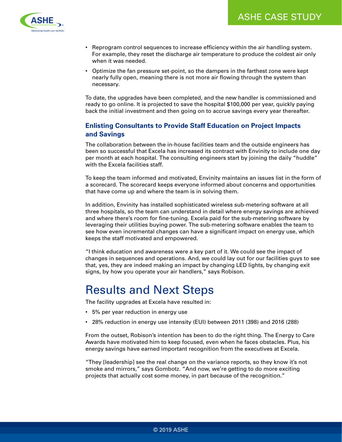

- Reprogram control sequences to increase efficiency within the air handling system. For example, they reset the discharge air temperature to produce the coldest air only when it was needed.
- Optimize the fan pressure set-point, so the dampers in the farthest zone were kept nearly fully open, meaning there is not more air flowing through the system than necessary.

To date, the upgrades have been completed, and the new handler is commissioned and ready to go online. It is projected to save the hospital \$100,000 per year, quickly paying back the initial investment and then going on to accrue savings every year thereafter.

#### **Enlisting Consultants to Provide Staff Education on Project Impacts and Savings**

The collaboration between the in-house facilities team and the outside engineers has been so successful that Excela has increased its contract with Envinity to include one day per month at each hospital. The consulting engineers start by joining the daily "huddle" with the Excela facilities staff.

To keep the team informed and motivated, Envinity maintains an issues list in the form of a scorecard. The scorecard keeps everyone informed about concerns and opportunities that have come up and where the team is in solving them.

In addition, Envinity has installed sophisticated wireless sub-metering software at all three hospitals, so the team can understand in detail where energy savings are achieved and where there's room for fine-tuning. Excela paid for the sub-metering software by leveraging their utilities buying power. The sub-metering software enables the team to see how even incremental changes can have a significant impact on energy use, which keeps the staff motivated and empowered.

"I think education and awareness were a key part of it. We could see the impact of changes in sequences and operations. And, we could lay out for our facilities guys to see that, yes, they are indeed making an impact by changing LED lights, by changing exit signs, by how you operate your air handlers," says Robison.

#### Results and Next Steps

The facility upgrades at Excela have resulted in:

- 5% per year reduction in energy use
- 28% reduction in energy use intensity (EUI) between 2011 (398) and 2016 (288)

From the outset, Robison's intention has been to do the right thing. The Energy to Care Awards have motivated him to keep focused, even when he faces obstacles. Plus, his energy savings have earned important recognition from the executives at Excela.

"They [leadership] see the real change on the variance reports, so they know it's not smoke and mirrors," says Gombotz. "And now, we're getting to do more exciting projects that actually cost some money, in part because of the recognition."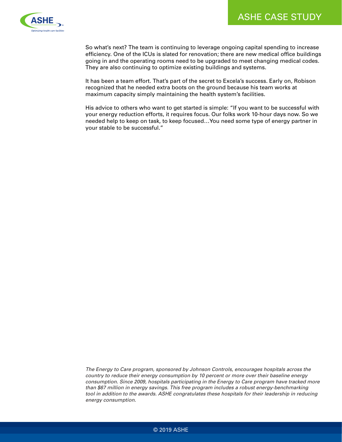

So what's next? The team is continuing to leverage ongoing capital spending to increase efficiency. One of the ICUs is slated for renovation; there are new medical office buildings going in and the operating rooms need to be upgraded to meet changing medical codes. They are also continuing to optimize existing buildings and systems.

It has been a team effort. That's part of the secret to Excela's success. Early on, Robison recognized that he needed extra boots on the ground because his team works at maximum capacity simply maintaining the health system's facilities.

His advice to others who want to get started is simple: "If you want to be successful with your energy reduction efforts, it requires focus. Our folks work 10-hour days now. So we needed help to keep on task, to keep focused…You need some type of energy partner in your stable to be successful."

*The Energy to Care program, sponsored by Johnson Controls, encourages hospitals across the country to reduce their energy consumption by 10 percent or more over their baseline energy consumption. Since 2009, hospitals participating in the Energy to Care program have tracked more than \$67 million in energy savings. This free program includes a robust energy-benchmarking*  tool in addition to the awards. ASHE congratulates these hospitals for their leadership in reducing *energy consumption.*